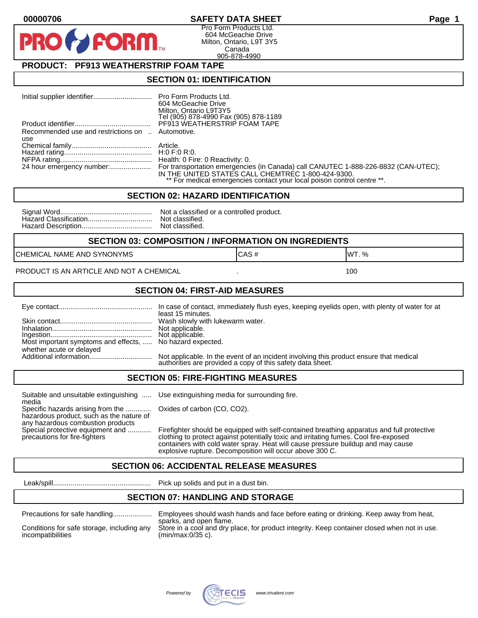### **00000706 SAFETY DATA SHEET Page 1**

Pro Form Products Ltd. 604 McGeachie Drive Milton, Ontario, L9T 3Y5 Canada 905-878-4990

## **PRODUCT: PF913 WEATHERSTRIP FOAM TAPE**

**FORM** 

#### **SECTION 01: IDENTIFICATION**

|                                                  | 604 McGeachie Drive                                                     |
|--------------------------------------------------|-------------------------------------------------------------------------|
|                                                  | Milton, Ontario L9T3Y5                                                  |
|                                                  | Tel (905) 878-4990 Fax (905) 878-1189                                   |
|                                                  | PF913 WEATHERSTRIP FOAM TAPE                                            |
| Recommended use and restrictions on  Automotive. |                                                                         |
| use                                              |                                                                         |
|                                                  |                                                                         |
|                                                  |                                                                         |
|                                                  |                                                                         |
|                                                  |                                                                         |
|                                                  | IN THE UNITED STATES CALL CHEMTREC 1-800-424-9300.                      |
|                                                  | ** For medical emergencies contact your local poison control centre **. |

#### **SECTION 02: HAZARD IDENTIFICATION**

| Nc |
|----|
| No |
| No |

ot a classified or a controlled product. ot classified. ot classified.

#### **SECTION 03: COMPOSITION / INFORMATION ON INGREDIENTS**

CHEMICAL NAME AND SYNONYMS GAS AND CAS # CAS # WT. %

#### PRODUCT IS AN ARTICLE AND NOT A CHEMICAL **AND THE SET AND A SET ALL ASSAULT** 100

#### **SECTION 04: FIRST-AID MEASURES**

|                                                                                       | least 15 minutes.                                                                                                                                    |
|---------------------------------------------------------------------------------------|------------------------------------------------------------------------------------------------------------------------------------------------------|
|                                                                                       |                                                                                                                                                      |
| Most important symptoms and effects,  No hazard expected.<br>whether acute or delayed |                                                                                                                                                      |
|                                                                                       | Not applicable. In the event of an incident involving this product ensure that medical<br>authorities are provided a copy of this safety data sheet. |

#### **SECTION 05: FIRE-FIGHTING MEASURES**

Suitable and unsuitable extinguishing ..... Use extinguishing media for surrounding fire. media

Specific hazards arising from the ............. Oxides of carbon (CO, CO2). hazardous product, such as the nature of any hazardous combustion products

Special protective equipment and ............ Firefighter should be equipped with self-contained breathing apparatus and full protective<br>precautions for fire-fighters continent clothing to protect against potentially toxic clothing to protect against potentially toxic and irritating fumes. Cool fire-exposed containers with cold water spray. Heat will cause pressure buildup and may cause explosive rupture. Decomposition will occur above 300 C.

## **SECTION 06: ACCIDENTAL RELEASE MEASURES**

Leak/spill.................................................. Pick up solids and put in a dust bin.

## **SECTION 07: HANDLING AND STORAGE**

| Precautions for safe nandling |  |  |
|-------------------------------|--|--|
|                               |  |  |

incompatibilities (min/max:0/35 c).

Precautions for safe handling.................... Employees should wash hands and face before eating or drinking. Keep away from heat, sparks, and open flame. Conditions for safe storage, including any Store in a cool and dry place, for product integrity. Keep container closed when not in use.

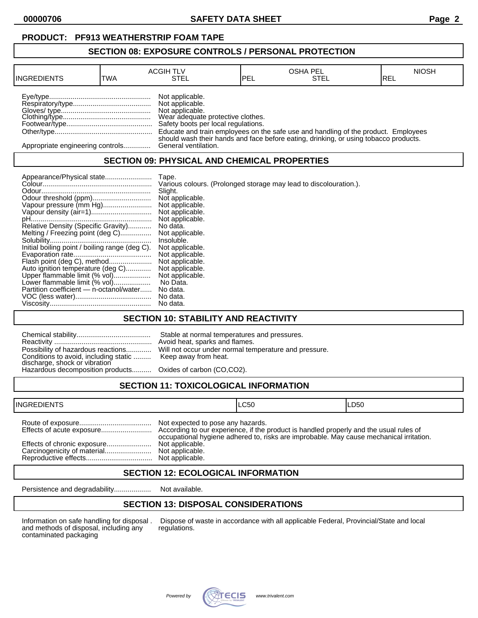**00000706 SAFETY DATA SHEET Page 2**

### **SECTION 08: EXPOSURE CONTROLS / PERSONAL PROTECTION**

| <b>INGREDIENTS</b>               | TWA | <b>ACGIH TLV</b><br>STEL                                                                                                          | <b>IPEL</b> | <b>OSHA PEL</b><br>STEL                                                              | <b>NIOSH</b><br>IREL |
|----------------------------------|-----|-----------------------------------------------------------------------------------------------------------------------------------|-------------|--------------------------------------------------------------------------------------|----------------------|
|                                  |     | Not applicable.<br>Not applicable.<br>Not applicable.<br>Wear adequate protective clothes.<br>Safety boots per local regulations. |             | Educate and train employees on the safe use and handling of the product. Employees   |                      |
| Appropriate engineering controls |     | General ventilation.                                                                                                              |             | should wash their hands and face before eating, drinking, or using tobacco products. |                      |

## **SECTION 09: PHYSICAL AND CHEMICAL PROPERTIES**

| Appearance/Physical state                      | Tape.                                                             |
|------------------------------------------------|-------------------------------------------------------------------|
|                                                | Various colours. (Prolonged storage may lead to discolouration.). |
|                                                | Slight.                                                           |
|                                                | Not applicable.                                                   |
| Vapour pressure (mm Hg)                        | Not applicable.                                                   |
|                                                | Not applicable.                                                   |
|                                                | Not applicable.                                                   |
| Relative Density (Specific Gravity)            | No data.                                                          |
| Melting / Freezing point (deg C)               | Not applicable.                                                   |
|                                                | Insoluble.                                                        |
| Initial boiling point / boiling range (deg C). | Not applicable.                                                   |
|                                                | Not applicable.                                                   |
| Flash point (deg C), method                    | Not applicable.                                                   |
| Auto ignition temperature (deg C)              | Not applicable.                                                   |
| Upper flammable limit (% vol)                  | Not applicable.                                                   |
| Lower flammable limit (% vol)                  | No Data.                                                          |
| Partition coefficient - n-octanol/water        | No data.                                                          |
|                                                | No data.                                                          |
|                                                | No data.                                                          |

## **SECTION 10: STABILITY AND REACTIVITY**

| Conditions to avoid, including static  Keep away from heat.<br>discharge, shock or vibration<br>Hazardous decomposition products Oxides of carbon (CO,CO2). | Stable at normal temperatures and pressures.<br>Avoid heat, sparks and flames.<br>Possibility of hazardous reactions Will not occur under normal temperature and pressure. |
|-------------------------------------------------------------------------------------------------------------------------------------------------------------|----------------------------------------------------------------------------------------------------------------------------------------------------------------------------|
|                                                                                                                                                             |                                                                                                                                                                            |

# **SECTION 11: TOXICOLOGICAL INFORMATION**

| <b>INGREDIENTS</b> |                                                      | ILC50                                                                                   | LD50 |
|--------------------|------------------------------------------------------|-----------------------------------------------------------------------------------------|------|
|                    | Not expected to pose any hazards.<br>Not applicable. | occupational hygiene adhered to, risks are improbable. May cause mechanical irritation. |      |

## **SECTION 12: ECOLOGICAL INFORMATION**

Persistence and degradability................... Not available.

## **SECTION 13: DISPOSAL CONSIDERATIONS**

and methods of disposal, including any contaminated packaging

Information on safe handling for disposal . Dispose of waste in accordance with all applicable Federal, Provincial/State and local